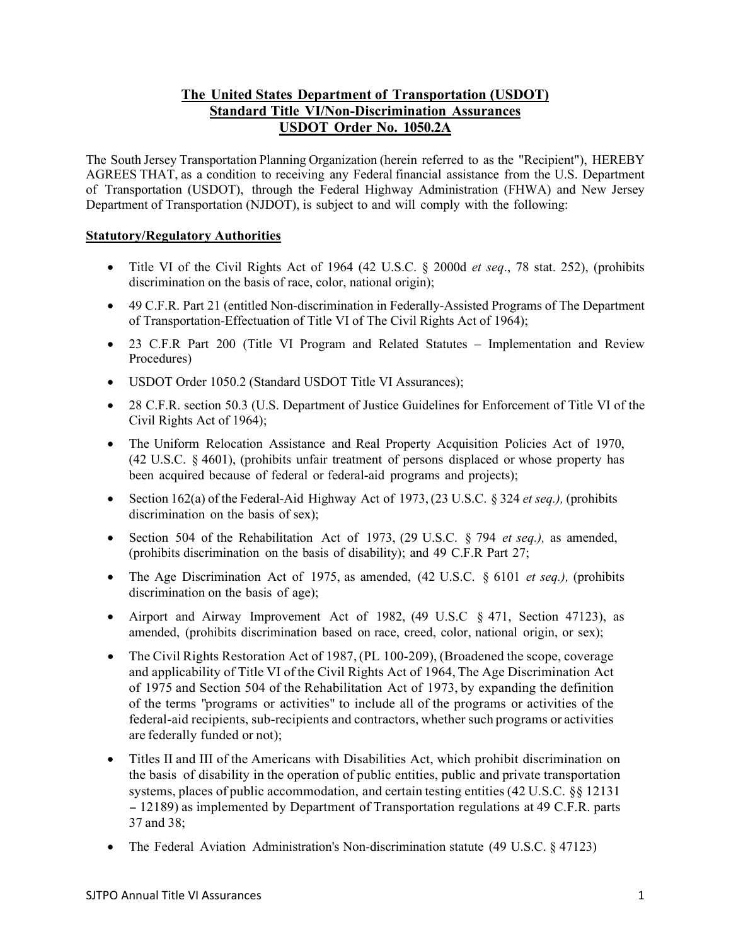# **The United States Department of Transportation (USDOT) Standard Title VI/Non-Discrimination Assurances USDOT Order No. 1050.2A**

The South Jersey Transportation Planning Organization (herein referred to as the "Recipient"), HEREBY AGREES THAT, as a condition to receiving any Federal financial assistance from the U.S. Department of Transportation (USDOT), through the Federal Highway Administration (FHWA) and New Jersey Department of Transportation (NJDOT), is subject to and will comply with the following:

### **Statutory/Regulatory Authorities**

- Title VI of the Civil Rights Act of 1964 (42 U.S.C. § 2000d *et seq*., 78 stat. 252), (prohibits discrimination on the basis of race, color, national origin);
- 49 C.F.R. Part 21 (entitled Non-discrimination in Federally-Assisted Programs of The Department of Transportation-Effectuation of Title VI of The Civil Rights Act of 1964);
- 23 C.F.R Part 200 (Title VI Program and Related Statutes Implementation and Review Procedures)
- USDOT Order 1050.2 (Standard USDOT Title VI Assurances);
- 28 C.F.R. section 50.3 (U.S. Department of Justice Guidelines for Enforcement of Title VI of the Civil Rights Act of 1964);
- The Uniform Relocation Assistance and Real Property Acquisition Policies Act of 1970, (42 U.S.C. § 4601), (prohibits unfair treatment of persons displaced or whose property has been acquired because of federal or federal-aid programs and projects);
- Section 162(a) of the Federal-Aid Highway Act of 1973, (23 U.S.C. § 324 *et seq.),* (prohibits discrimination on the basis of sex);
- Section 504 of the Rehabilitation Act of 1973, (29 U.S.C. § 794 *et seq.),* as amended, (prohibits discrimination on the basis of disability); and 49 C.F.R Part 27;
- The Age Discrimination Act of 1975, as amended, (42 U.S.C. § 6101 *et seq.),* (prohibits discrimination on the basis of age);
- Airport and Airway Improvement Act of 1982, (49 U.S.C § 471, Section 47123), as amended, (prohibits discrimination based on race, creed, color, national origin, or sex);
- The Civil Rights Restoration Act of 1987, (PL 100-209), (Broadened the scope, coverage and applicability of Title VI of the Civil Rights Act of 1964, The Age Discrimination Act of 1975 and Section 504 of the Rehabilitation Act of 1973, by expanding the definition of the terms "programs or activities" to include all of the programs or activities of the federal-aid recipients, sub-recipients and contractors, whether such programs or activities are federally funded or not);
- Titles II and III of the Americans with Disabilities Act, which prohibit discrimination on the basis of disability in the operation of public entities, public and private transportation systems, places of public accommodation, and certain testing entities (42 U.S.C. §§ 12131 - 12189) as implemented by Department of Transportation regulations at <sup>49</sup> C.F.R. parts 37 and 38;
- The Federal Aviation Administration's Non-discrimination statute (49 U.S.C. § 47123)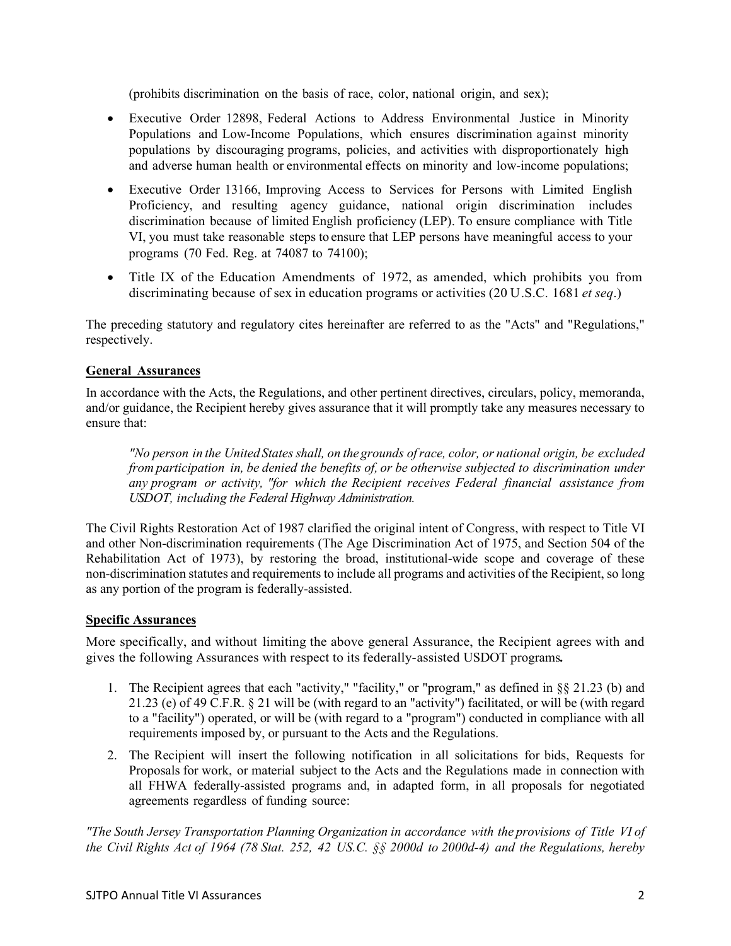(prohibits discrimination on the basis of race, color, national origin, and sex);

- Executive Order 12898, Federal Actions to Address Environmental Justice in Minority Populations and Low-Income Populations, which ensures discrimination against minority populations by discouraging programs, policies, and activities with disproportionately high and adverse human health or environmental effects on minority and low-income populations;
- Executive Order 13166, Improving Access to Services for Persons with Limited English Proficiency, and resulting agency guidance, national origin discrimination includes discrimination because of limited English proficiency (LEP). To ensure compliance with Title VI, you must take reasonable steps to ensure that LEP persons have meaningful access to your programs (70 Fed. Reg. at 74087 to 74100);
- Title IX of the Education Amendments of 1972, as amended, which prohibits you from discriminating because of sex in education programs or activities (20 U.S.C. 1681 *et seq*.)

The preceding statutory and regulatory cites hereinafter are referred to as the "Acts" and "Regulations," respectively.

#### **General Assurances**

In accordance with the Acts, the Regulations, and other pertinent directives, circulars, policy, memoranda, and/or guidance, the Recipient hereby gives assurance that it will promptly take any measures necessary to ensure that:

*"No person in the United States shall, on the grounds ofrace, color, or national origin, be excluded from participation in, be denied the benefits of, or be otherwise subjected to discrimination under any program or activity, "for which the Recipient receives Federal financial assistance from USDOT, including the Federal Highway Administration.*

The Civil Rights Restoration Act of 1987 clarified the original intent of Congress, with respect to Title VI and other Non-discrimination requirements (The Age Discrimination Act of 1975, and Section 504 of the Rehabilitation Act of 1973), by restoring the broad, institutional-wide scope and coverage of these non-discrimination statutes and requirements to include all programs and activities of the Recipient, so long as any portion of the program is federally-assisted.

#### **Specific Assurances**

More specifically, and without limiting the above general Assurance, the Recipient agrees with and gives the following Assurances with respect to its federally-assisted USDOT programs*.* 

- 1. The Recipient agrees that each "activity," "facility," or "program," as defined in §§ 21.23 (b) and 21.23 (e) of 49 C.F.R. § 21 will be (with regard to an "activity") facilitated, or will be (with regard to a "facility") operated, or will be (with regard to a "program") conducted in compliance with all requirements imposed by, or pursuant to the Acts and the Regulations.
- 2. The Recipient will insert the following notification in all solicitations for bids, Requests for Proposals for work, or material subject to the Acts and the Regulations made in connection with all FHWA federally-assisted programs and, in adapted form, in all proposals for negotiated agreements regardless of funding source:

*"The South Jersey Transportation Planning Organization in accordance with the provisions of Title VI of the Civil Rights Act of 1964 (78 Stat. 252, 42 US.C. §§ 2000d to 2000d-4) and the Regulations, hereby*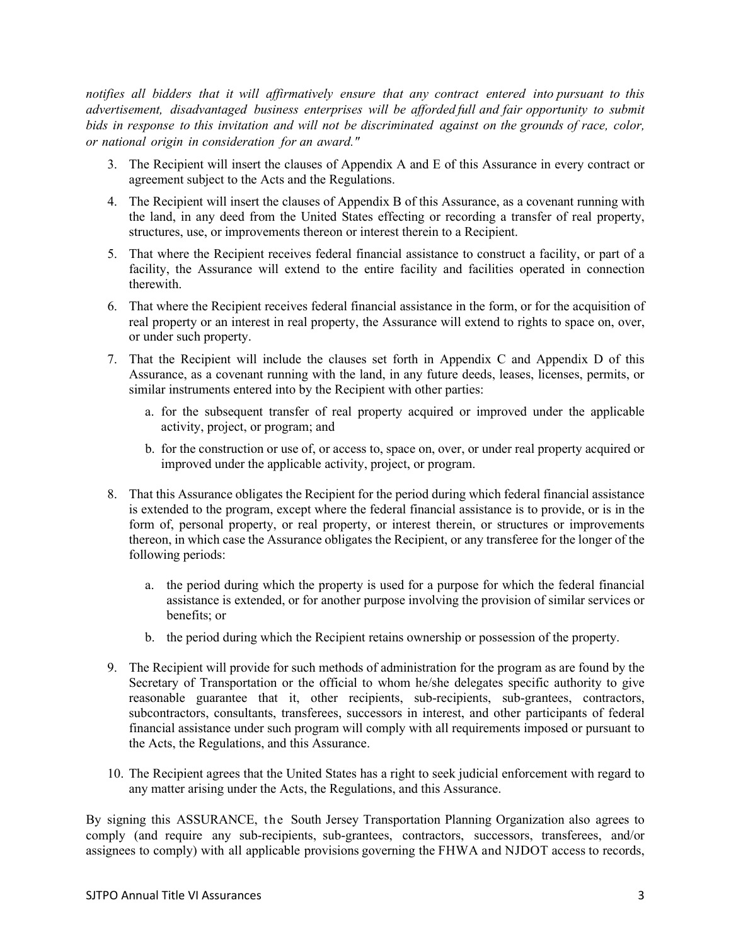*notifies all bidders that it will affirmatively ensure that any contract entered into pursuant to this advertisement, disadvantaged business enterprises will be afforded full and fair opportunity to submit bids in response to this invitation and will not be discriminated against on the grounds of race, color, or national origin in consideration for an award."*

- 3. The Recipient will insert the clauses of Appendix A and E of this Assurance in every contract or agreement subject to the Acts and the Regulations.
- 4. The Recipient will insert the clauses of Appendix B of this Assurance, as a covenant running with the land, in any deed from the United States effecting or recording a transfer of real property, structures, use, or improvements thereon or interest therein to a Recipient.
- 5. That where the Recipient receives federal financial assistance to construct a facility, or part of a facility, the Assurance will extend to the entire facility and facilities operated in connection therewith.
- 6. That where the Recipient receives federal financial assistance in the form, or for the acquisition of real property or an interest in real property, the Assurance will extend to rights to space on, over, or under such property.
- 7. That the Recipient will include the clauses set forth in Appendix C and Appendix D of this Assurance, as a covenant running with the land, in any future deeds, leases, licenses, permits, or similar instruments entered into by the Recipient with other parties:
	- a. for the subsequent transfer of real property acquired or improved under the applicable activity, project, or program; and
	- b. for the construction or use of, or access to, space on, over, or under real property acquired or improved under the applicable activity, project, or program.
- 8. That this Assurance obligates the Recipient for the period during which federal financial assistance is extended to the program, except where the federal financial assistance is to provide, or is in the form of, personal property, or real property, or interest therein, or structures or improvements thereon, in which case the Assurance obligates the Recipient, or any transferee for the longer of the following periods:
	- a. the period during which the property is used for a purpose for which the federal financial assistance is extended, or for another purpose involving the provision of similar services or benefits; or
	- b. the period during which the Recipient retains ownership or possession of the property.
- 9. The Recipient will provide for such methods of administration for the program as are found by the Secretary of Transportation or the official to whom he/she delegates specific authority to give reasonable guarantee that it, other recipients, sub-recipients, sub-grantees, contractors, subcontractors, consultants, transferees, successors in interest, and other participants of federal financial assistance under such program will comply with all requirements imposed or pursuant to the Acts, the Regulations, and this Assurance.
- 10. The Recipient agrees that the United States has a right to seek judicial enforcement with regard to any matter arising under the Acts, the Regulations, and this Assurance.

By signing this ASSURANCE, the South Jersey Transportation Planning Organization also agrees to comply (and require any sub-recipients, sub-grantees, contractors, successors, transferees, and/or assignees to comply) with all applicable provisions governing the FHWA and NJDOT access to records,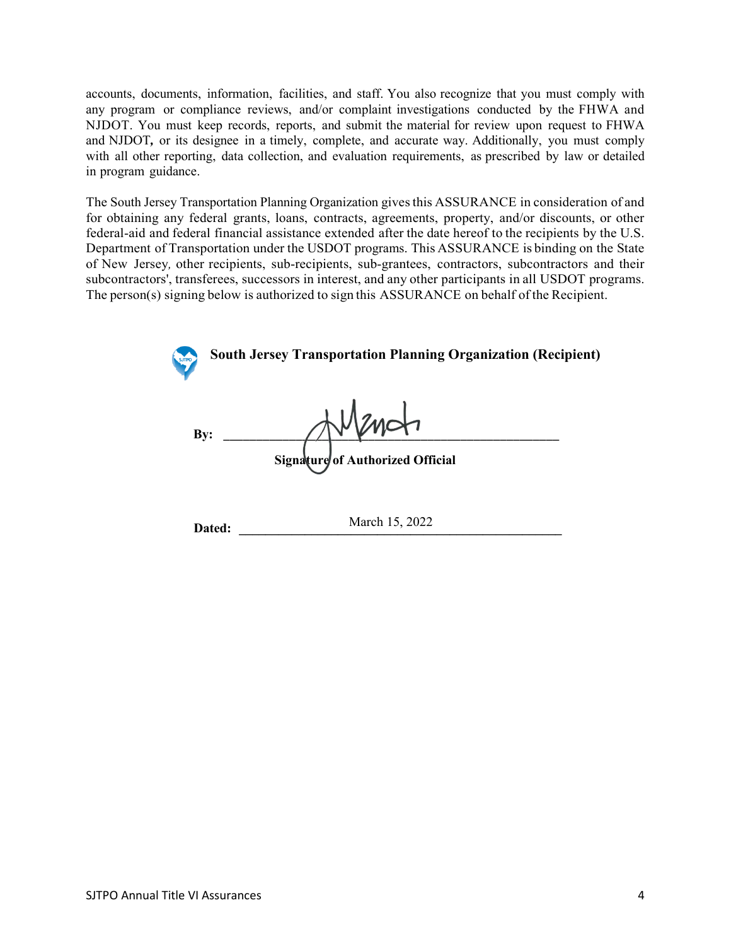accounts, documents, information, facilities, and staff. You also recognize that you must comply with any program or compliance reviews, and/or complaint investigations conducted by the FHWA and NJDOT. You must keep records, reports, and submit the material for review upon request to FHWA and NJDOT*,* or its designee in a timely, complete, and accurate way. Additionally, you must comply with all other reporting, data collection, and evaluation requirements, as prescribed by law or detailed in program guidance.

The South Jersey Transportation Planning Organization givesthis ASSURANCE in consideration of and for obtaining any federal grants, loans, contracts, agreements, property, and/or discounts, or other federal-aid and federal financial assistance extended after the date hereof to the recipients by the U.S. Department of Transportation under the USDOT programs. This ASSURANCE is binding on the State of New Jersey*,* other recipients, sub-recipients, sub-grantees, contractors, subcontractors and their subcontractors', transferees, successors in interest, and any other participants in all USDOT programs. The person(s) signing below is authorized to sign this ASSURANCE on behalf of the Recipient.

| <b>SJTPO</b> | <b>South Jersey Transportation Planning Organization (Recipient)</b> |
|--------------|----------------------------------------------------------------------|
| By:          | Wench<br>Signature of Authorized Official                            |
| Dated:       | March 15, 2022                                                       |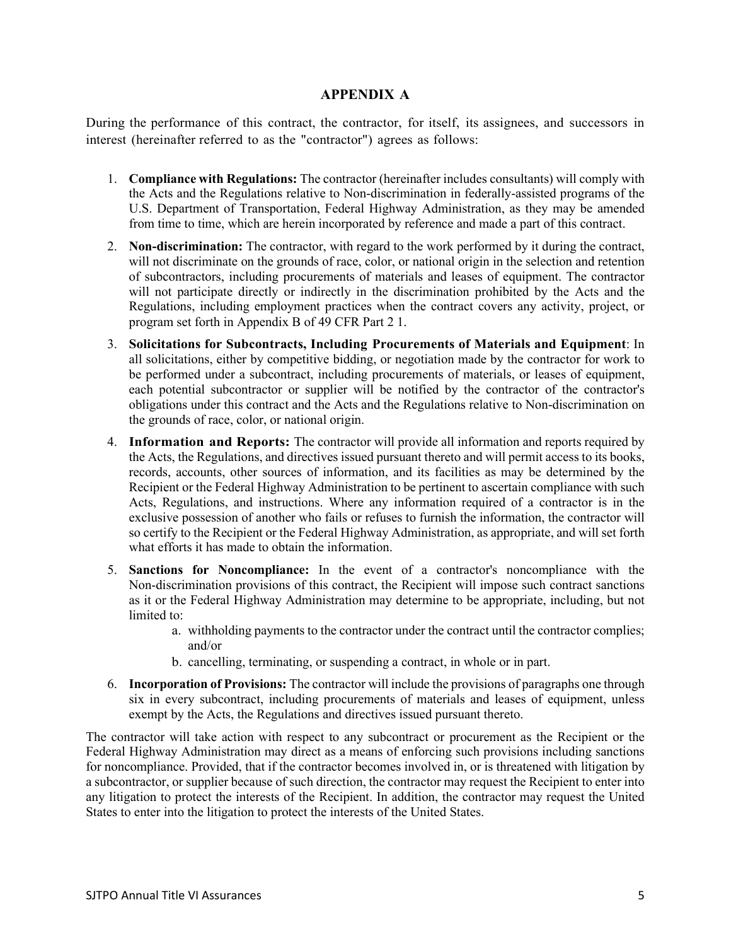### **APPENDIX A**

During the performance of this contract, the contractor, for itself, its assignees, and successors in interest (hereinafter referred to as the "contractor") agrees as follows:

- 1. **Compliance with Regulations:** The contractor (hereinafter includes consultants) will comply with the Acts and the Regulations relative to Non-discrimination in federally-assisted programs of the U.S. Department of Transportation, Federal Highway Administration, as they may be amended from time to time, which are herein incorporated by reference and made a part of this contract.
- 2. **Non-discrimination:** The contractor, with regard to the work performed by it during the contract, will not discriminate on the grounds of race, color, or national origin in the selection and retention of subcontractors, including procurements of materials and leases of equipment. The contractor will not participate directly or indirectly in the discrimination prohibited by the Acts and the Regulations, including employment practices when the contract covers any activity, project, or program set forth in Appendix B of 49 CFR Part 2 1.
- 3. **Solicitations for Subcontracts, Including Procurements of Materials and Equipment**: In all solicitations, either by competitive bidding, or negotiation made by the contractor for work to be performed under a subcontract, including procurements of materials, or leases of equipment, each potential subcontractor or supplier will be notified by the contractor of the contractor's obligations under this contract and the Acts and the Regulations relative to Non-discrimination on the grounds of race, color, or national origin.
- 4. **Information and Reports:** The contractor will provide all information and reports required by the Acts, the Regulations, and directives issued pursuant thereto and will permit access to its books, records, accounts, other sources of information, and its facilities as may be determined by the Recipient or the Federal Highway Administration to be pertinent to ascertain compliance with such Acts, Regulations, and instructions. Where any information required of a contractor is in the exclusive possession of another who fails or refuses to furnish the information, the contractor will so certify to the Recipient or the Federal Highway Administration, as appropriate, and will set forth what efforts it has made to obtain the information.
- 5. **Sanctions for Noncompliance:** In the event of a contractor's noncompliance with the Non-discrimination provisions of this contract, the Recipient will impose such contract sanctions as it or the Federal Highway Administration may determine to be appropriate, including, but not limited to:
	- a. withholding payments to the contractor under the contract until the contractor complies; and/or
	- b. cancelling, terminating, or suspending a contract, in whole or in part.
- 6. **Incorporation of Provisions:** The contractor will include the provisions of paragraphs one through six in every subcontract, including procurements of materials and leases of equipment, unless exempt by the Acts, the Regulations and directives issued pursuant thereto.

The contractor will take action with respect to any subcontract or procurement as the Recipient or the Federal Highway Administration may direct as a means of enforcing such provisions including sanctions for noncompliance. Provided, that if the contractor becomes involved in, or is threatened with litigation by a subcontractor, or supplier because of such direction, the contractor may request the Recipient to enter into any litigation to protect the interests of the Recipient. In addition, the contractor may request the United States to enter into the litigation to protect the interests of the United States.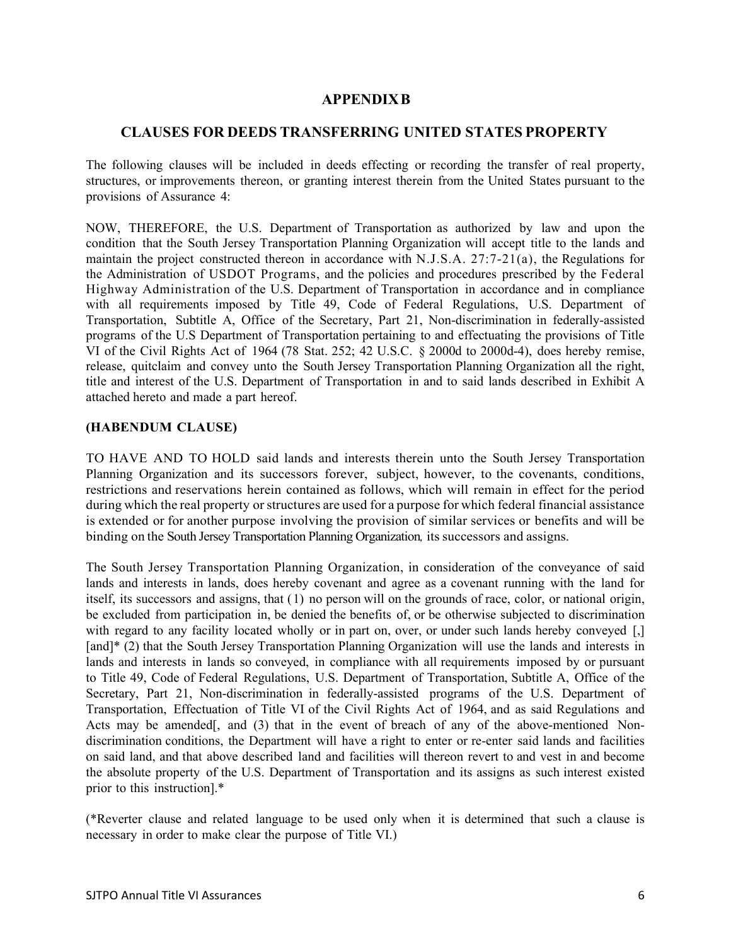## **APPENDIX B**

### **CLAUSES FOR DEEDS TRANSFERRING UNITED STATES PROPERTY**

The following clauses will be included in deeds effecting or recording the transfer of real property, structures, or improvements thereon, or granting interest therein from the United States pursuant to the provisions of Assurance 4:

NOW, THEREFORE, the U.S. Department of Transportation as authorized by law and upon the condition that the South Jersey Transportation Planning Organization will accept title to the lands and maintain the project constructed thereon in accordance with N.J.S.A.  $27:7-21(a)$ , the Regulations for the Administration of USDOT Programs, and the policies and procedures prescribed by the Federal Highway Administration of the U.S. Department of Transportation in accordance and in compliance with all requirements imposed by Title 49, Code of Federal Regulations, U.S. Department of Transportation, Subtitle A, Office of the Secretary, Part 21, Non-discrimination in federally-assisted programs of the U.S Department of Transportation pertaining to and effectuating the provisions of Title VI of the Civil Rights Act of 1964 (78 Stat. 252; 42 U.S.C. § 2000d to 2000d-4), does hereby remise, release, quitclaim and convey unto the South Jersey Transportation Planning Organization all the right, title and interest of the U.S. Department of Transportation in and to said lands described in Exhibit A attached hereto and made a part hereof.

#### **(HABENDUM CLAUSE)**

TO HAVE AND TO HOLD said lands and interests therein unto the South Jersey Transportation Planning Organization and its successors forever, subject, however, to the covenants, conditions, restrictions and reservations herein contained as follows, which will remain in effect for the period during which the real property or structures are used for a purpose for which federal financial assistance is extended or for another purpose involving the provision of similar services or benefits and will be binding on the South Jersey Transportation Planning Organization, its successors and assigns.

The South Jersey Transportation Planning Organization, in consideration of the conveyance of said lands and interests in lands, does hereby covenant and agree as a covenant running with the land for itself, its successors and assigns, that ( 1) no person will on the grounds of race, color, or national origin, be excluded from participation in, be denied the benefits of, or be otherwise subjected to discrimination with regard to any facility located wholly or in part on, over, or under such lands hereby conveyed [,] [and]\* (2) that the South Jersey Transportation Planning Organization will use the lands and interests in lands and interests in lands so conveyed, in compliance with all requirements imposed by or pursuant to Title 49, Code of Federal Regulations, U.S. Department of Transportation, Subtitle A, Office of the Secretary, Part 21, Non-discrimination in federally-assisted programs of the U.S. Department of Transportation, Effectuation of Title VI of the Civil Rights Act of 1964, and as said Regulations and Acts may be amended, and (3) that in the event of breach of any of the above-mentioned Nondiscrimination conditions, the Department will have a right to enter or re-enter said lands and facilities on said land, and that above described land and facilities will thereon revert to and vest in and become the absolute property of the U.S. Department of Transportation and its assigns as such interest existed prior to this instruction].\*

(\*Reverter clause and related language to be used only when it is determined that such a clause is necessary in order to make clear the purpose of Title VI.)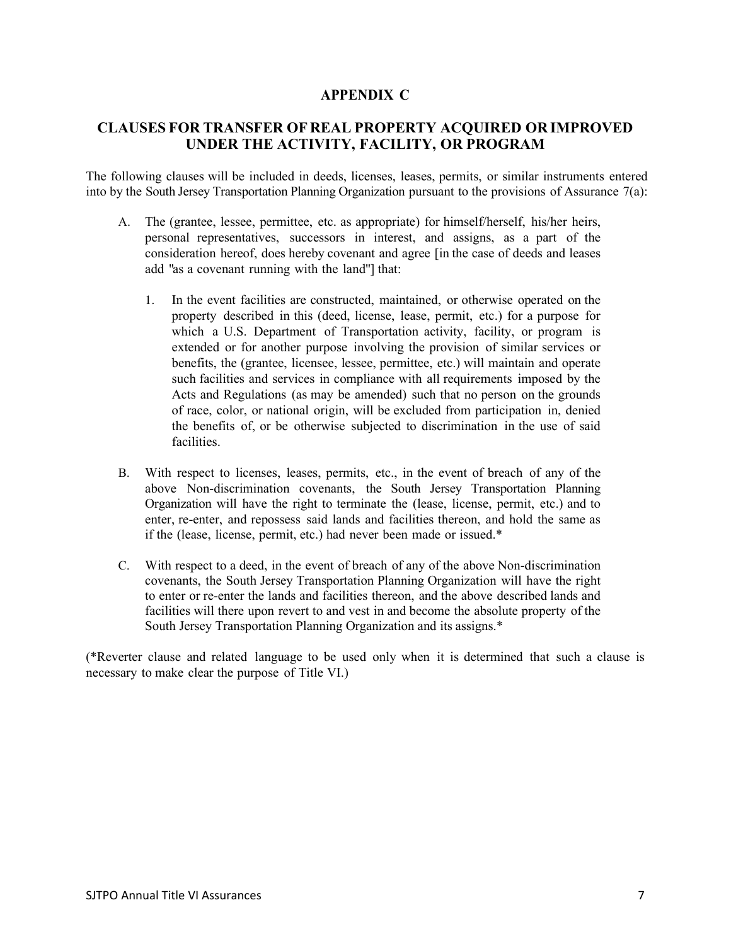## **APPENDIX C**

# **CLAUSES FOR TRANSFER OF REAL PROPERTY ACQUIRED OR IMPROVED UNDER THE ACTIVITY, FACILITY, OR PROGRAM**

The following clauses will be included in deeds, licenses, leases, permits, or similar instruments entered into by the South Jersey Transportation Planning Organization pursuant to the provisions of Assurance 7(a):

- A. The (grantee, lessee, permittee, etc. as appropriate) for himself/herself, his/her heirs, personal representatives, successors in interest, and assigns, as a part of the consideration hereof, does hereby covenant and agree [in the case of deeds and leases add "as a covenant running with the land"] that:
	- 1. In the event facilities are constructed, maintained, or otherwise operated on the property described in this (deed, license, lease, permit, etc.) for a purpose for which a U.S. Department of Transportation activity, facility, or program is extended or for another purpose involving the provision of similar services or benefits, the (grantee, licensee, lessee, permittee, etc.) will maintain and operate such facilities and services in compliance with all requirements imposed by the Acts and Regulations (as may be amended) such that no person on the grounds of race, color, or national origin, will be excluded from participation in, denied the benefits of, or be otherwise subjected to discrimination in the use of said facilities.
- B. With respect to licenses, leases, permits, etc., in the event of breach of any of the above Non-discrimination covenants, the South Jersey Transportation Planning Organization will have the right to terminate the (lease, license, permit, etc.) and to enter, re-enter, and repossess said lands and facilities thereon, and hold the same as if the (lease, license, permit, etc.) had never been made or issued.\*
- C. With respect to a deed, in the event of breach of any of the above Non-discrimination covenants, the South Jersey Transportation Planning Organization will have the right to enter or re-enter the lands and facilities thereon, and the above described lands and facilities will there upon revert to and vest in and become the absolute property of the South Jersey Transportation Planning Organization and its assigns.\*

(\*Reverter clause and related language to be used only when it is determined that such a clause is necessary to make clear the purpose of Title VI.)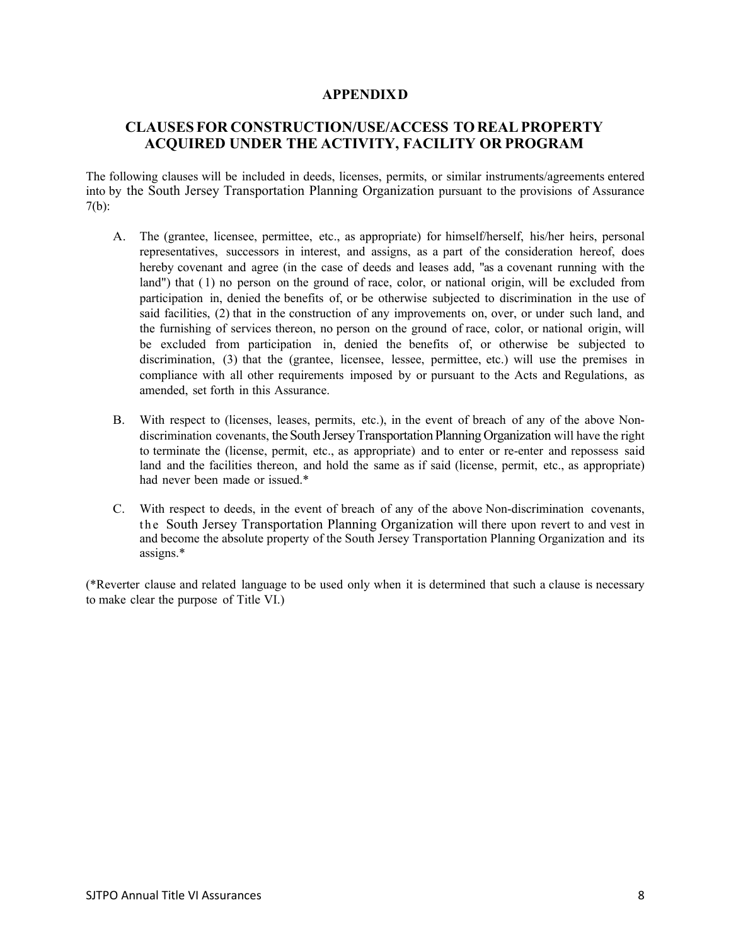#### **APPENDIX D**

## **CLAUSES FOR CONSTRUCTION/USE/ACCESS TOREALPROPERTY ACQUIRED UNDER THE ACTIVITY, FACILITY OR PROGRAM**

The following clauses will be included in deeds, licenses, permits, or similar instruments/agreements entered into by the South Jersey Transportation Planning Organization pursuant to the provisions of Assurance 7(b):

- A. The (grantee, licensee, permittee, etc., as appropriate) for himself/herself, his/her heirs, personal representatives, successors in interest, and assigns, as a part of the consideration hereof, does hereby covenant and agree (in the case of deeds and leases add, "as a covenant running with the land") that (1) no person on the ground of race, color, or national origin, will be excluded from participation in, denied the benefits of, or be otherwise subjected to discrimination in the use of said facilities, (2) that in the construction of any improvements on, over, or under such land, and the furnishing of services thereon, no person on the ground of race, color, or national origin, will be excluded from participation in, denied the benefits of, or otherwise be subjected to discrimination, (3) that the (grantee, licensee, lessee, permittee, etc.) will use the premises in compliance with all other requirements imposed by or pursuant to the Acts and Regulations, as amended, set forth in this Assurance.
- B. With respect to (licenses, leases, permits, etc.), in the event of breach of any of the above Nondiscrimination covenants, the South Jersey Transportation Planning Organization will have the right to terminate the (license, permit, etc., as appropriate) and to enter or re-enter and repossess said land and the facilities thereon, and hold the same as if said (license, permit, etc., as appropriate) had never been made or issued.\*
- C. With respect to deeds, in the event of breach of any of the above Non-discrimination covenants, the South Jersey Transportation Planning Organization will there upon revert to and vest in and become the absolute property of the South Jersey Transportation Planning Organization and its assigns.\*

(\*Reverter clause and related language to be used only when it is determined that such a clause is necessary to make clear the purpose of Title VI.)